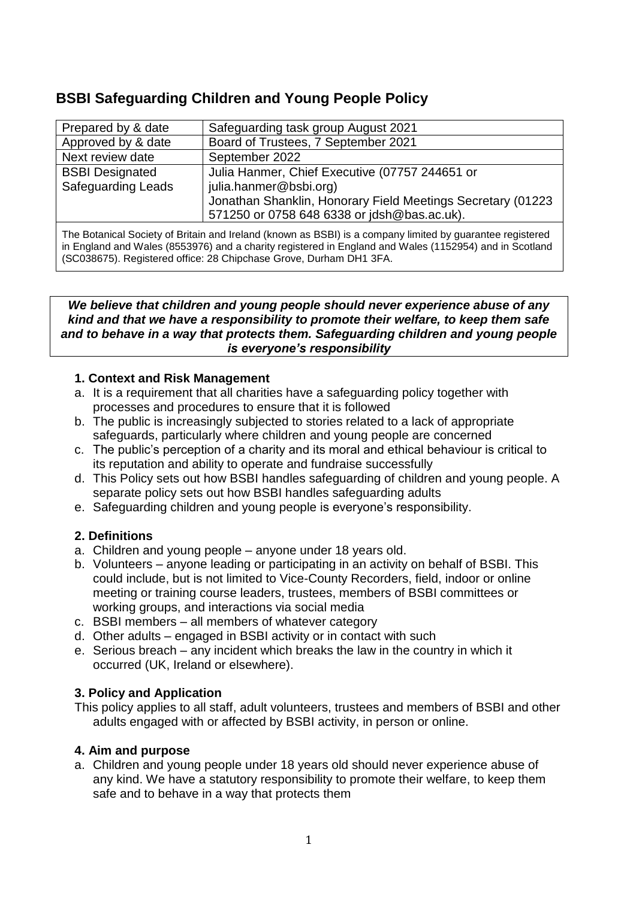# **BSBI Safeguarding Children and Young People Policy**

| Prepared by & date        | Safeguarding task group August 2021                         |
|---------------------------|-------------------------------------------------------------|
| Approved by & date        | Board of Trustees, 7 September 2021                         |
| Next review date          | September 2022                                              |
| <b>BSBI Designated</b>    | Julia Hanmer, Chief Executive (07757 244651 or              |
| <b>Safeguarding Leads</b> | julia.hanmer@bsbi.org)                                      |
|                           | Jonathan Shanklin, Honorary Field Meetings Secretary (01223 |
|                           | 571250 or 0758 648 6338 or jdsh@bas.ac.uk).                 |
|                           |                                                             |

The Botanical Society of Britain and Ireland (known as BSBI) is a company limited by guarantee registered in England and Wales (8553976) and a charity registered in England and Wales (1152954) and in Scotland (SC038675). Registered office: 28 Chipchase Grove, Durham DH1 3FA.

#### *We believe that children and young people should never experience abuse of any kind and that we have a responsibility to promote their welfare, to keep them safe and to behave in a way that protects them. Safeguarding children and young people is everyone's responsibility*

# **1. Context and Risk Management**

- a. It is a requirement that all charities have a safeguarding policy together with processes and procedures to ensure that it is followed
- b. The public is increasingly subjected to stories related to a lack of appropriate safeguards, particularly where children and young people are concerned
- c. The public's perception of a charity and its moral and ethical behaviour is critical to its reputation and ability to operate and fundraise successfully
- d. This Policy sets out how BSBI handles safeguarding of children and young people. A separate policy sets out how BSBI handles safeguarding adults
- e. Safeguarding children and young people is everyone's responsibility.

# **2. Definitions**

- a. Children and young people anyone under 18 years old.
- b. Volunteers anyone leading or participating in an activity on behalf of BSBI. This could include, but is not limited to Vice-County Recorders, field, indoor or online meeting or training course leaders, trustees, members of BSBI committees or working groups, and interactions via social media
- c. BSBI members all members of whatever category
- d. Other adults engaged in BSBI activity or in contact with such
- e. Serious breach any incident which breaks the law in the country in which it occurred (UK, Ireland or elsewhere).

# **3. Policy and Application**

This policy applies to all staff, adult volunteers, trustees and members of BSBI and other adults engaged with or affected by BSBI activity, in person or online.

# **4. Aim and purpose**

a. Children and young people under 18 years old should never experience abuse of any kind. We have a statutory responsibility to promote their welfare, to keep them safe and to behave in a way that protects them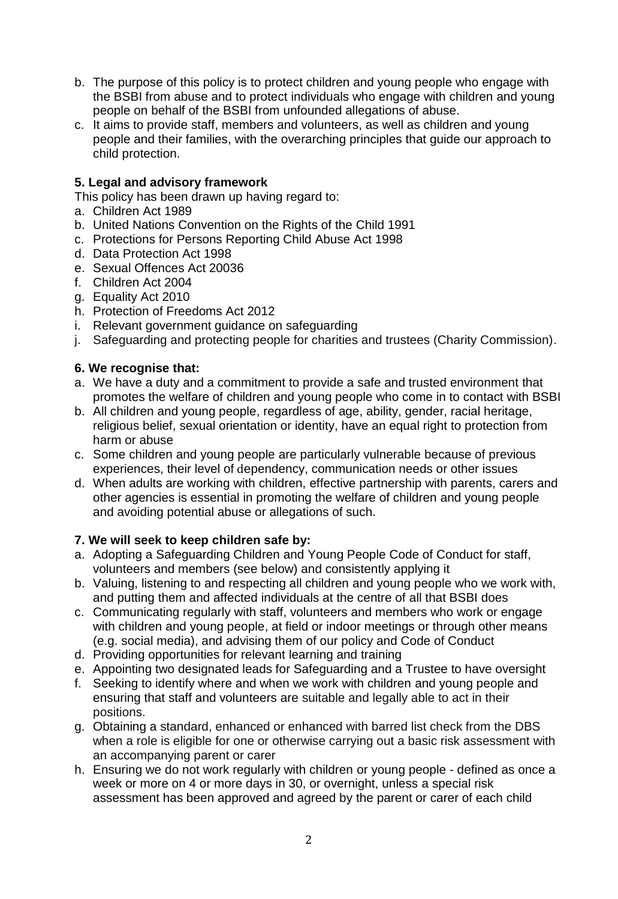- b. The purpose of this policy is to protect children and young people who engage with the BSBI from abuse and to protect individuals who engage with children and young people on behalf of the BSBI from unfounded allegations of abuse.
- c. It aims to provide staff, members and volunteers, as well as children and young people and their families, with the overarching principles that guide our approach to child protection.

# **5. Legal and advisory framework**

This policy has been drawn up having regard to:

- a. Children Act 1989
- b. United Nations Convention on the Rights of the Child 1991
- c. Protections for Persons Reporting Child Abuse Act 1998
- d. Data Protection Act 1998
- e. Sexual Offences Act 20036
- f. Children Act 2004
- g. Equality Act 2010
- h. Protection of Freedoms Act 2012
- i. Relevant government guidance on safeguarding
- j. Safeguarding and protecting people for charities and trustees (Charity Commission).

# **6. We recognise that:**

- a. We have a duty and a commitment to provide a safe and trusted environment that promotes the welfare of children and young people who come in to contact with BSBI
- b. All children and young people, regardless of age, ability, gender, racial heritage, religious belief, sexual orientation or identity, have an equal right to protection from harm or abuse
- c. Some children and young people are particularly vulnerable because of previous experiences, their level of dependency, communication needs or other issues
- d. When adults are working with children, effective partnership with parents, carers and other agencies is essential in promoting the welfare of children and young people and avoiding potential abuse or allegations of such.

# **7. We will seek to keep children safe by:**

- a. Adopting a Safeguarding Children and Young People Code of Conduct for staff, volunteers and members (see below) and consistently applying it
- b. Valuing, listening to and respecting all children and young people who we work with, and putting them and affected individuals at the centre of all that BSBI does
- c. Communicating regularly with staff, volunteers and members who work or engage with children and young people, at field or indoor meetings or through other means (e.g. social media), and advising them of our policy and Code of Conduct
- d. Providing opportunities for relevant learning and training
- e. Appointing two designated leads for Safeguarding and a Trustee to have oversight
- f. Seeking to identify where and when we work with children and young people and ensuring that staff and volunteers are suitable and legally able to act in their positions.
- g. Obtaining a standard, enhanced or enhanced with barred list check from the DBS when a role is eligible for one or otherwise carrying out a basic risk assessment with an accompanying parent or carer
- h. Ensuring we do not work regularly with children or young people defined as once a week or more on 4 or more days in 30, or overnight, unless a special risk assessment has been approved and agreed by the parent or carer of each child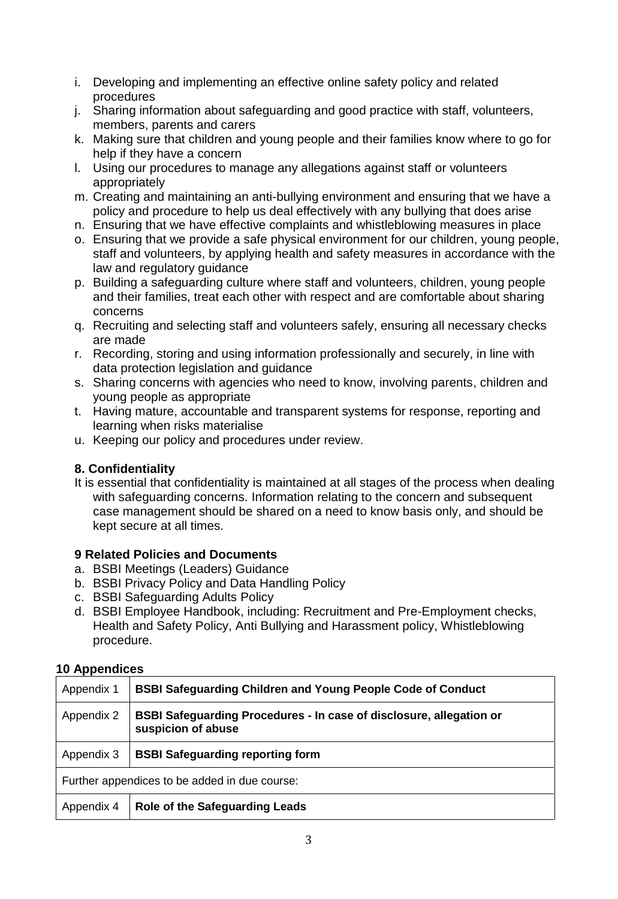- i. Developing and implementing an effective online safety policy and related procedures
- j. Sharing information about safeguarding and good practice with staff, volunteers, members, parents and carers
- k. Making sure that children and young people and their families know where to go for help if they have a concern
- l. Using our procedures to manage any allegations against staff or volunteers appropriately
- m. Creating and maintaining an anti-bullying environment and ensuring that we have a policy and procedure to help us deal effectively with any bullying that does arise
- n. Ensuring that we have effective complaints and whistleblowing measures in place
- o. Ensuring that we provide a safe physical environment for our children, young people, staff and volunteers, by applying health and safety measures in accordance with the law and regulatory guidance
- p. Building a safeguarding culture where staff and volunteers, children, young people and their families, treat each other with respect and are comfortable about sharing concerns
- q. Recruiting and selecting staff and volunteers safely, ensuring all necessary checks are made
- r. Recording, storing and using information professionally and securely, in line with data protection legislation and guidance
- s. Sharing concerns with agencies who need to know, involving parents, children and young people as appropriate
- t. Having mature, accountable and transparent systems for response, reporting and learning when risks materialise
- u. Keeping our policy and procedures under review.

# **8. Confidentiality**

It is essential that confidentiality is maintained at all stages of the process when dealing with safeguarding concerns. Information relating to the concern and subsequent case management should be shared on a need to know basis only, and should be kept secure at all times.

# **9 Related Policies and Documents**

- a. BSBI Meetings (Leaders) Guidance
- b. BSBI Privacy Policy and Data Handling Policy
- c. BSBI Safeguarding Adults Policy
- d. BSBI Employee Handbook, including: Recruitment and Pre-Employment checks, Health and Safety Policy, Anti Bullying and Harassment policy, Whistleblowing procedure.

# **10 Appendices**

| Appendix 1                                    | <b>BSBI Safeguarding Children and Young People Code of Conduct</b>                               |  |
|-----------------------------------------------|--------------------------------------------------------------------------------------------------|--|
| Appendix 2                                    | <b>BSBI Safeguarding Procedures - In case of disclosure, allegation or</b><br>suspicion of abuse |  |
| Appendix 3                                    | <b>BSBI Safeguarding reporting form</b>                                                          |  |
| Further appendices to be added in due course: |                                                                                                  |  |
| Appendix 4                                    | <b>Role of the Safeguarding Leads</b>                                                            |  |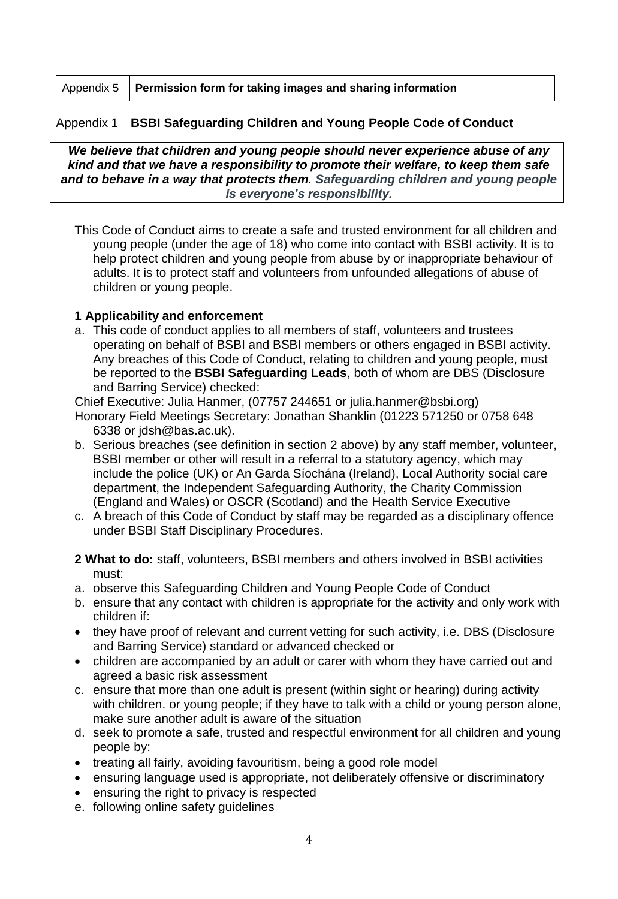|  | Appendix 5   Permission form for taking images and sharing information |
|--|------------------------------------------------------------------------|
|--|------------------------------------------------------------------------|

### Appendix 1 **BSBI Safeguarding Children and Young People Code of Conduct**

*We believe that children and young people should never experience abuse of any kind and that we have a responsibility to promote their welfare, to keep them safe and to behave in a way that protects them. Safeguarding children and young people is everyone's responsibility.*

This Code of Conduct aims to create a safe and trusted environment for all children and young people (under the age of 18) who come into contact with BSBI activity. It is to help protect children and young people from abuse by or inappropriate behaviour of adults. It is to protect staff and volunteers from unfounded allegations of abuse of children or young people.

#### **1 Applicability and enforcement**

a. This code of conduct applies to all members of staff, volunteers and trustees operating on behalf of BSBI and BSBI members or others engaged in BSBI activity. Any breaches of this Code of Conduct, relating to children and young people, must be reported to the **BSBI Safeguarding Leads**, both of whom are DBS (Disclosure and Barring Service) checked:

Chief Executive: Julia Hanmer, (07757 244651 or julia.hanmer@bsbi.org)

Honorary Field Meetings Secretary: Jonathan Shanklin (01223 571250 or 0758 648 6338 or jdsh@bas.ac.uk).

- b. Serious breaches (see definition in section 2 above) by any staff member, volunteer, BSBI member or other will result in a referral to a statutory agency, which may include the police (UK) or An Garda Síochána (Ireland), Local Authority social care department, the Independent Safeguarding Authority, the Charity Commission (England and Wales) or OSCR (Scotland) and the Health Service Executive
- c. A breach of this Code of Conduct by staff may be regarded as a disciplinary offence under BSBI Staff Disciplinary Procedures.
- **2 What to do:** staff, volunteers, BSBI members and others involved in BSBI activities must:
- a. observe this Safeguarding Children and Young People Code of Conduct
- b. ensure that any contact with children is appropriate for the activity and only work with children if:
- they have proof of relevant and current vetting for such activity, i.e. DBS (Disclosure and Barring Service) standard or advanced checked or
- children are accompanied by an adult or carer with whom they have carried out and agreed a basic risk assessment
- c. ensure that more than one adult is present (within sight or hearing) during activity with children. or young people; if they have to talk with a child or young person alone, make sure another adult is aware of the situation
- d. seek to promote a safe, trusted and respectful environment for all children and young people by:
- treating all fairly, avoiding favouritism, being a good role model
- ensuring language used is appropriate, not deliberately offensive or discriminatory
- ensuring the right to privacy is respected
- e. following online safety guidelines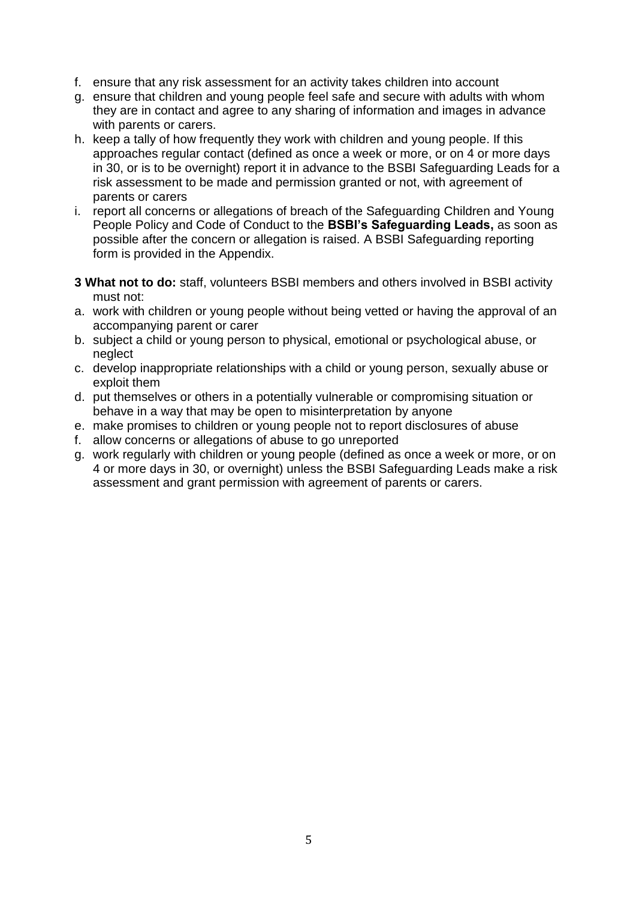- f. ensure that any risk assessment for an activity takes children into account
- g. ensure that children and young people feel safe and secure with adults with whom they are in contact and agree to any sharing of information and images in advance with parents or carers.
- h. keep a tally of how frequently they work with children and young people. If this approaches regular contact (defined as once a week or more, or on 4 or more days in 30, or is to be overnight) report it in advance to the BSBI Safeguarding Leads for a risk assessment to be made and permission granted or not, with agreement of parents or carers
- i. report all concerns or allegations of breach of the Safeguarding Children and Young People Policy and Code of Conduct to the **BSBI's Safeguarding Leads,** as soon as possible after the concern or allegation is raised. A BSBI Safeguarding reporting form is provided in the Appendix.
- **3 What not to do:** staff, volunteers BSBI members and others involved in BSBI activity must not:
- a. work with children or young people without being vetted or having the approval of an accompanying parent or carer
- b. subject a child or young person to physical, emotional or psychological abuse, or neglect
- c. develop inappropriate relationships with a child or young person, sexually abuse or exploit them
- d. put themselves or others in a potentially vulnerable or compromising situation or behave in a way that may be open to misinterpretation by anyone
- e. make promises to children or young people not to report disclosures of abuse
- f. allow concerns or allegations of abuse to go unreported
- g. work regularly with children or young people (defined as once a week or more, or on 4 or more days in 30, or overnight) unless the BSBI Safeguarding Leads make a risk assessment and grant permission with agreement of parents or carers.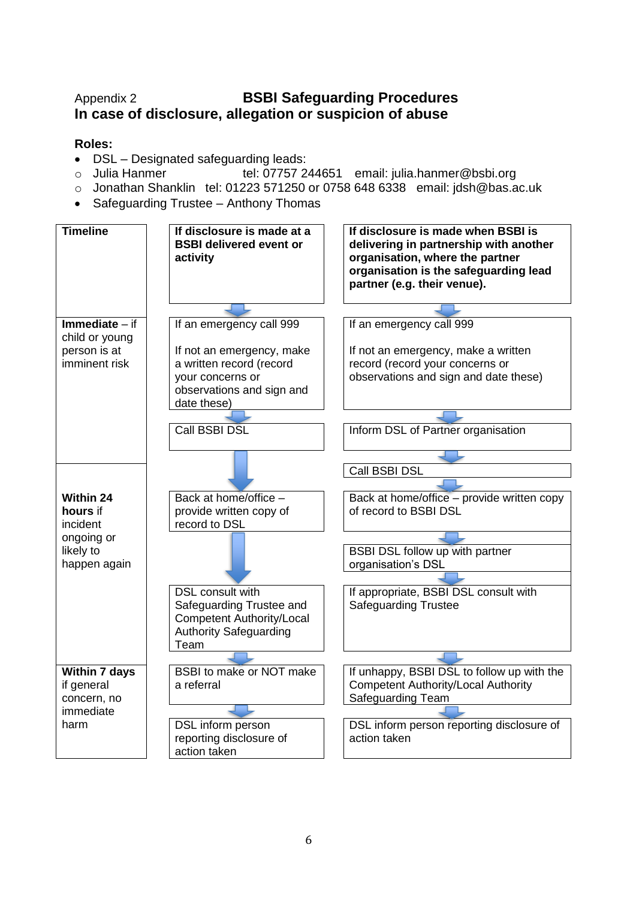# Appendix 2 **BSBI Safeguarding Procedures In case of disclosure, allegation or suspicion of abuse**

# **Roles:**

- DSL Designated safeguarding leads:
- o Julia Hanmer tel: 07757 244651 email: julia.hanmer@bsbi.org
- o Jonathan Shanklin tel: 01223 571250 or 0758 648 6338 email: jdsh@bas.ac.uk
- Safeguarding Trustee Anthony Thomas

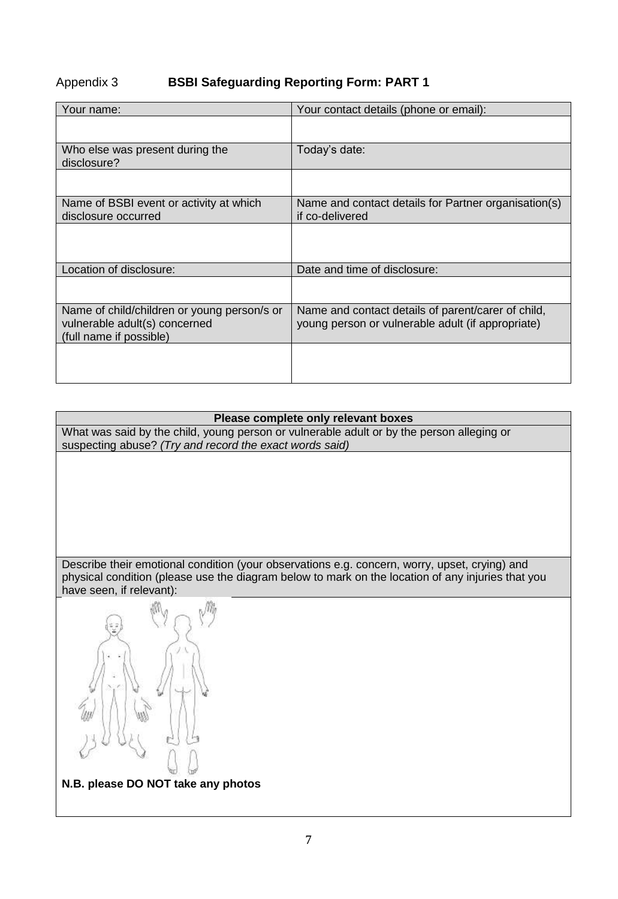# Appendix 3 **BSBI Safeguarding Reporting Form: PART 1**

| Your name:                                                                                              | Your contact details (phone or email):                                                                  |  |
|---------------------------------------------------------------------------------------------------------|---------------------------------------------------------------------------------------------------------|--|
|                                                                                                         |                                                                                                         |  |
| Who else was present during the<br>disclosure?                                                          | Today's date:                                                                                           |  |
|                                                                                                         |                                                                                                         |  |
| Name of BSBI event or activity at which<br>disclosure occurred                                          | Name and contact details for Partner organisation(s)<br>if co-delivered                                 |  |
|                                                                                                         |                                                                                                         |  |
| Location of disclosure:                                                                                 | Date and time of disclosure:                                                                            |  |
|                                                                                                         |                                                                                                         |  |
| Name of child/children or young person/s or<br>vulnerable adult(s) concerned<br>(full name if possible) | Name and contact details of parent/carer of child,<br>young person or vulnerable adult (if appropriate) |  |
|                                                                                                         |                                                                                                         |  |

#### **Please complete only relevant boxes**

What was said by the child, young person or vulnerable adult or by the person alleging or suspecting abuse? *(Try and record the exact words said)*

Describe their emotional condition (your observations e.g. concern, worry, upset, crying) and physical condition (please use the diagram below to mark on the location of any injuries that you have seen, if relevant):



**N.B. please DO NOT take any photos**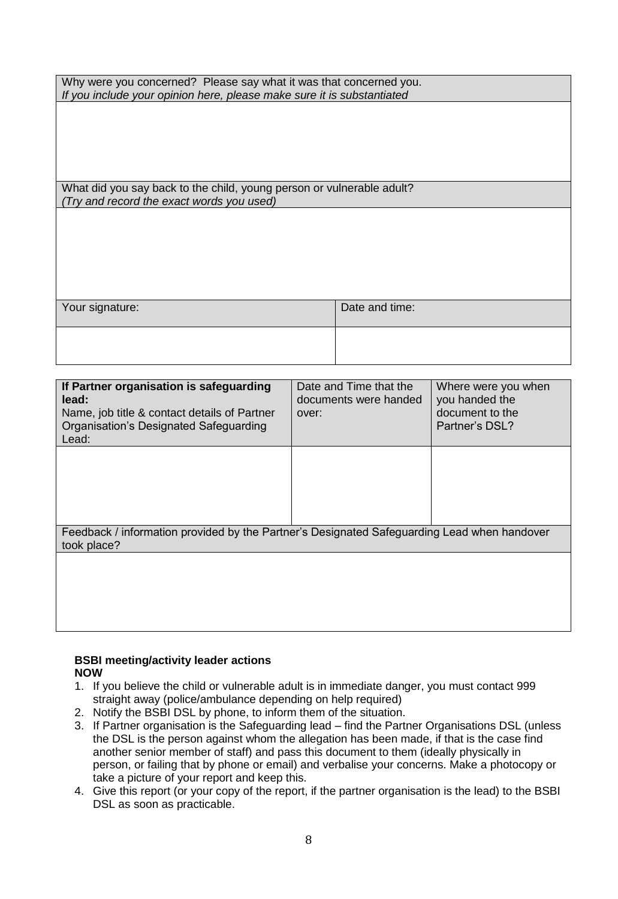| Why were you concerned? Please say what it was that concerned you.     |                |  |
|------------------------------------------------------------------------|----------------|--|
| If you include your opinion here, please make sure it is substantiated |                |  |
|                                                                        |                |  |
|                                                                        |                |  |
|                                                                        |                |  |
|                                                                        |                |  |
|                                                                        |                |  |
|                                                                        |                |  |
|                                                                        |                |  |
| What did you say back to the child, young person or vulnerable adult?  |                |  |
| (Try and record the exact words you used)                              |                |  |
|                                                                        |                |  |
|                                                                        |                |  |
|                                                                        |                |  |
|                                                                        |                |  |
|                                                                        |                |  |
|                                                                        |                |  |
|                                                                        |                |  |
|                                                                        |                |  |
| Your signature:                                                        | Date and time: |  |
|                                                                        |                |  |
|                                                                        |                |  |
|                                                                        |                |  |

| If Partner organisation is safeguarding<br>lead:<br>Name, job title & contact details of Partner<br>Organisation's Designated Safeguarding<br>Lead: | Date and Time that the<br>documents were handed<br>over: | Where were you when<br>you handed the<br>document to the<br>Partner's DSL? |  |
|-----------------------------------------------------------------------------------------------------------------------------------------------------|----------------------------------------------------------|----------------------------------------------------------------------------|--|
|                                                                                                                                                     |                                                          |                                                                            |  |
| Feedback / information provided by the Partner's Designated Safeguarding Lead when handover<br>took place?                                          |                                                          |                                                                            |  |
|                                                                                                                                                     |                                                          |                                                                            |  |

#### **BSBI meeting/activity leader actions NOW**

- 1. If you believe the child or vulnerable adult is in immediate danger, you must contact 999 straight away (police/ambulance depending on help required)
- 2. Notify the BSBI DSL by phone, to inform them of the situation.
- 3. If Partner organisation is the Safeguarding lead find the Partner Organisations DSL (unless the DSL is the person against whom the allegation has been made, if that is the case find another senior member of staff) and pass this document to them (ideally physically in person, or failing that by phone or email) and verbalise your concerns. Make a photocopy or take a picture of your report and keep this.
- 4. Give this report (or your copy of the report, if the partner organisation is the lead) to the BSBI DSL as soon as practicable.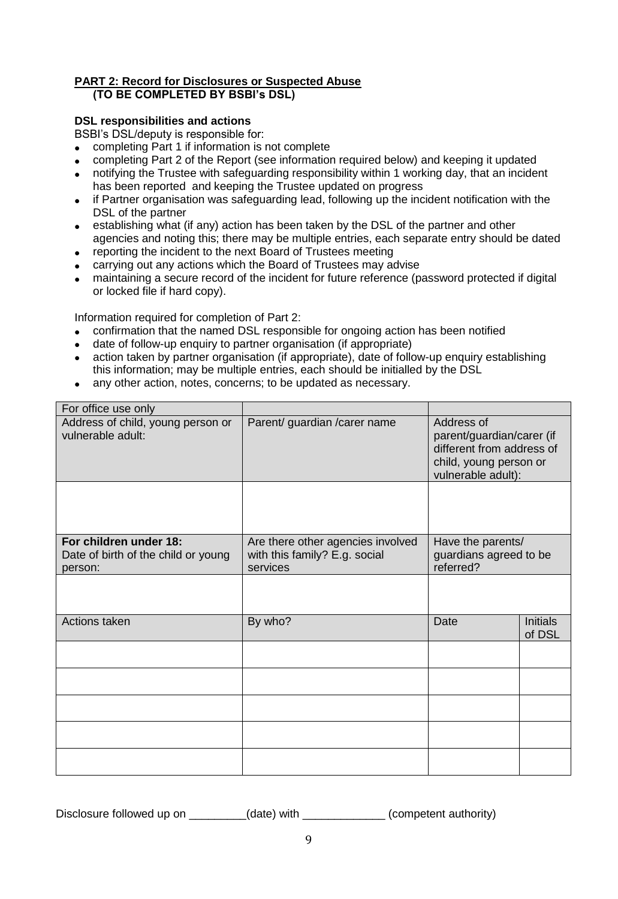#### **PART 2: Record for Disclosures or Suspected Abuse (TO BE COMPLETED BY BSBI's DSL)**

#### **DSL responsibilities and actions**

BSBI's DSL/deputy is responsible for:

- completing Part 1 if information is not complete
- completing Part 2 of the Report (see information required below) and keeping it updated
- notifying the Trustee with safeguarding responsibility within 1 working day, that an incident has been reported and keeping the Trustee updated on progress
- if Partner organisation was safeguarding lead, following up the incident notification with the DSL of the partner
- establishing what (if any) action has been taken by the DSL of the partner and other agencies and noting this; there may be multiple entries, each separate entry should be dated
- reporting the incident to the next Board of Trustees meeting
- carrying out any actions which the Board of Trustees may advise
- maintaining a secure record of the incident for future reference (password protected if digital or locked file if hard copy).

Information required for completion of Part 2:

- confirmation that the named DSL responsible for ongoing action has been notified
- date of follow-up enquiry to partner organisation (if appropriate)
- action taken by partner organisation (if appropriate), date of follow-up enquiry establishing this information; may be multiple entries, each should be initialled by the DSL
- any other action, notes, concerns; to be updated as necessary.

| For office use only                                                      |                                                                                |                                                                                                                      |                           |
|--------------------------------------------------------------------------|--------------------------------------------------------------------------------|----------------------------------------------------------------------------------------------------------------------|---------------------------|
| Address of child, young person or<br>vulnerable adult:                   | Parent/ guardian / carer name                                                  | Address of<br>parent/guardian/carer (if<br>different from address of<br>child, young person or<br>vulnerable adult): |                           |
|                                                                          |                                                                                |                                                                                                                      |                           |
| For children under 18:<br>Date of birth of the child or young<br>person: | Are there other agencies involved<br>with this family? E.g. social<br>services | Have the parents/<br>guardians agreed to be<br>referred?                                                             |                           |
|                                                                          |                                                                                |                                                                                                                      |                           |
| Actions taken                                                            | By who?                                                                        | Date                                                                                                                 | <b>Initials</b><br>of DSL |
|                                                                          |                                                                                |                                                                                                                      |                           |
|                                                                          |                                                                                |                                                                                                                      |                           |
|                                                                          |                                                                                |                                                                                                                      |                           |
|                                                                          |                                                                                |                                                                                                                      |                           |
|                                                                          |                                                                                |                                                                                                                      |                           |

Disclosure followed up on \_\_\_\_\_\_\_\_(date) with \_\_\_\_\_\_\_\_\_\_\_\_(competent authority)